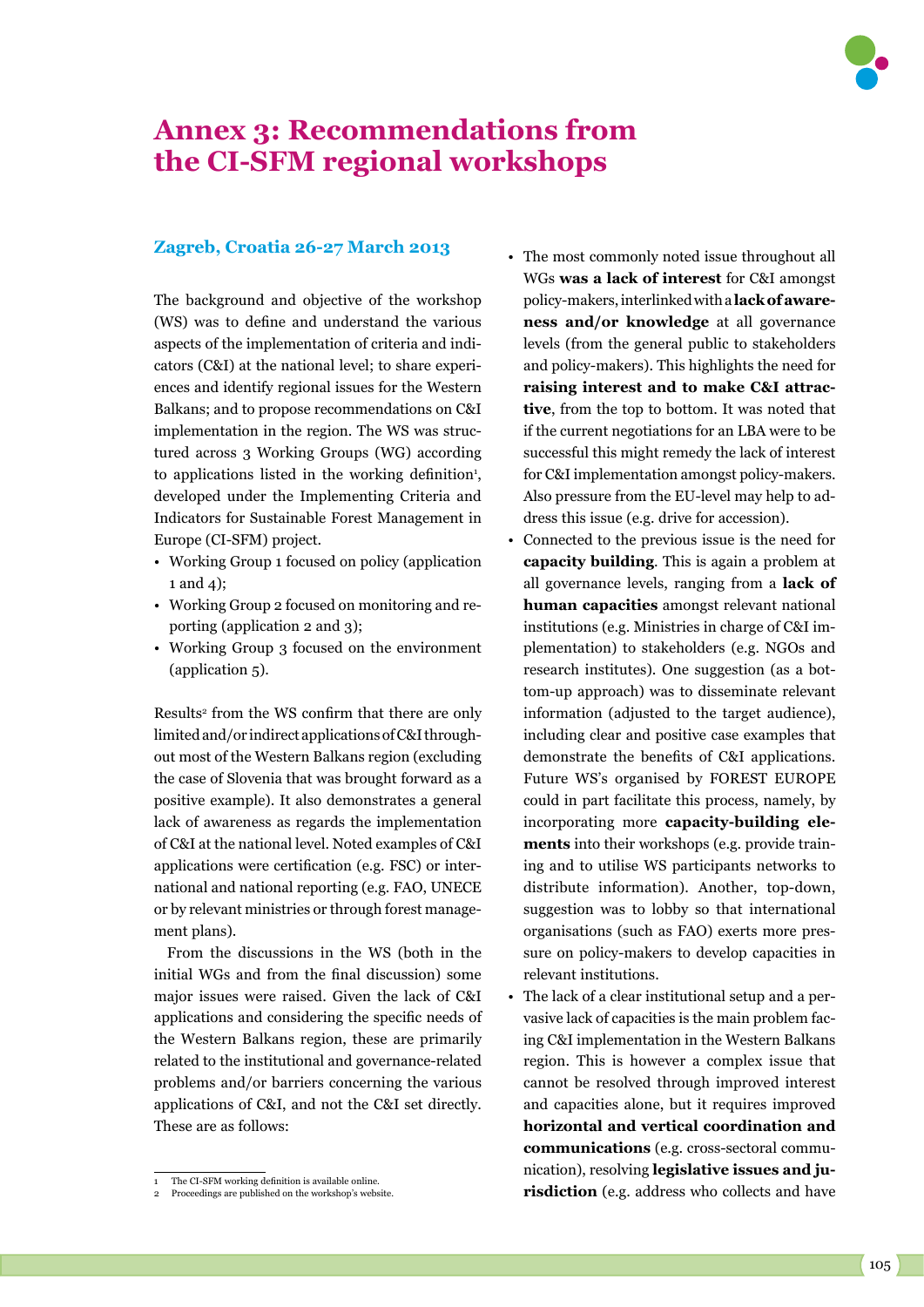## **Annex 3: Recommendations from the CI-SFM regional workshops**

## **Zagreb, Croatia 26-27 March 2013**

The background and objective of the workshop (WS) was to define and understand the various aspects of the implementation of criteria and indicators (C&I) at the national level; to share experiences and identify regional issues for the Western Balkans; and to propose recommendations on C&I implementation in the region. The WS was structured across 3 Working Groups (WG) according to applications listed in the working definition<sup>1</sup>, developed under the Implementing Criteria and Indicators for Sustainable Forest Management in Europe (CI-SFM) project.

- Working Group 1 focused on policy (application 1 and 4);
- Working Group 2 focused on monitoring and reporting (application 2 and 3);
- Working Group 3 focused on the environment (application 5).

Results<sup>2</sup> from the WS confirm that there are only limited and/or indirect applications of C&I throughout most of the Western Balkans region (excluding the case of Slovenia that was brought forward as a positive example). It also demonstrates a general lack of awareness as regards the implementation of C&I at the national level. Noted examples of C&I applications were certification (e.g. FSC) or international and national reporting (e.g. FAO, UNECE or by relevant ministries or through forest management plans).

From the discussions in the WS (both in the initial WGs and from the final discussion) some major issues were raised. Given the lack of C&I applications and considering the specific needs of the Western Balkans region, these are primarily related to the institutional and governance-related problems and/or barriers concerning the various applications of C&I, and not the C&I set directly. These are as follows:

- The most commonly noted issue throughout all WGs **was a lack of interest** for C&I amongst policy-makers, interlinked with a **lack of awareness and/or knowledge** at all governance levels (from the general public to stakeholders and policy-makers). This highlights the need for **raising interest and to make C&I attractive**, from the top to bottom. It was noted that if the current negotiations for an LBA were to be successful this might remedy the lack of interest for C&I implementation amongst policy-makers. Also pressure from the EU-level may help to address this issue (e.g. drive for accession).
- Connected to the previous issue is the need for **capacity building**. This is again a problem at all governance levels, ranging from a **lack of human capacities** amongst relevant national institutions (e.g. Ministries in charge of C&I implementation) to stakeholders (e.g. NGOs and research institutes). One suggestion (as a bottom-up approach) was to disseminate relevant information (adjusted to the target audience), including clear and positive case examples that demonstrate the benefits of C&I applications. Future WS's organised by FOREST EUROPE could in part facilitate this process, namely, by incorporating more **capacity-building elements** into their workshops (e.g. provide training and to utilise WS participants networks to distribute information). Another, top-down, suggestion was to lobby so that international organisations (such as FAO) exerts more pressure on policy-makers to develop capacities in relevant institutions.
- The lack of a clear institutional setup and a pervasive lack of capacities is the main problem facing C&I implementation in the Western Balkans region. This is however a complex issue that cannot be resolved through improved interest and capacities alone, but it requires improved **horizontal and vertical coordination and communications** (e.g. cross-sectoral communication), resolving **legislative issues and jurisdiction** (e.g. address who collects and have



The CI-SFM working definition is available online.

Proceedings are published on the workshop's website.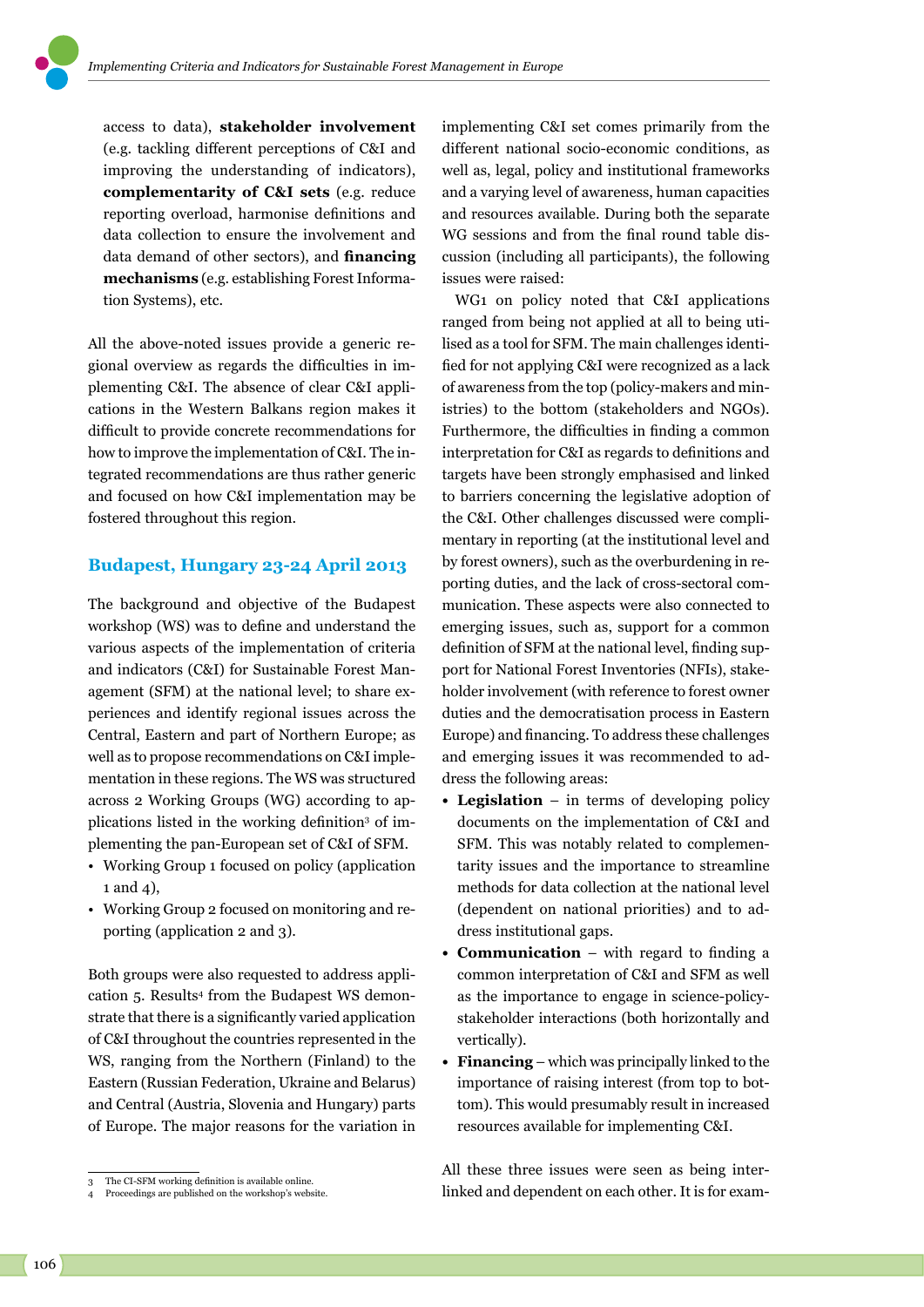access to data), **stakeholder involvement** (e.g. tackling different perceptions of C&I and improving the understanding of indicators), **complementarity of C&I sets** (e.g. reduce reporting overload, harmonise definitions and data collection to ensure the involvement and data demand of other sectors), and **financing mechanisms** (e.g. establishing Forest Information Systems), etc.

All the above-noted issues provide a generic regional overview as regards the difficulties in implementing C&I. The absence of clear C&I applications in the Western Balkans region makes it difficult to provide concrete recommendations for how to improve the implementation of C&I. The integrated recommendations are thus rather generic and focused on how C&I implementation may be fostered throughout this region.

## **Budapest, Hungary 23-24 April 2013**

The background and objective of the Budapest workshop (WS) was to define and understand the various aspects of the implementation of criteria and indicators (C&I) for Sustainable Forest Management (SFM) at the national level; to share experiences and identify regional issues across the Central, Eastern and part of Northern Europe; as well as to propose recommendations on C&I implementation in these regions. The WS was structured across 2 Working Groups (WG) according to applications listed in the working definition<sup>3</sup> of implementing the pan-European set of C&I of SFM.

- Working Group 1 focused on policy (application 1 and 4),
- Working Group 2 focused on monitoring and reporting (application 2 and 3).

Both groups were also requested to address application 5. Results4 from the Budapest WS demonstrate that there is a significantly varied application of C&I throughout the countries represented in the WS, ranging from the Northern (Finland) to the Eastern (Russian Federation, Ukraine and Belarus) and Central (Austria, Slovenia and Hungary) parts of Europe. The major reasons for the variation in

implementing C&I set comes primarily from the different national socio-economic conditions, as well as, legal, policy and institutional frameworks and a varying level of awareness, human capacities and resources available. During both the separate WG sessions and from the final round table discussion (including all participants), the following issues were raised:

WG1 on policy noted that C&I applications ranged from being not applied at all to being utilised as a tool for SFM. The main challenges identified for not applying C&I were recognized as a lack of awareness from the top (policy-makers and ministries) to the bottom (stakeholders and NGOs). Furthermore, the difficulties in finding a common interpretation for C&I as regards to definitions and targets have been strongly emphasised and linked to barriers concerning the legislative adoption of the C&I. Other challenges discussed were complimentary in reporting (at the institutional level and by forest owners), such as the overburdening in reporting duties, and the lack of cross-sectoral communication. These aspects were also connected to emerging issues, such as, support for a common definition of SFM at the national level, finding support for National Forest Inventories (NFIs), stakeholder involvement (with reference to forest owner duties and the democratisation process in Eastern Europe) and financing. To address these challenges and emerging issues it was recommended to address the following areas:

- **• Legislation** in terms of developing policy documents on the implementation of C&I and SFM. This was notably related to complementarity issues and the importance to streamline methods for data collection at the national level (dependent on national priorities) and to address institutional gaps.
- **• Communication** with regard to finding a common interpretation of C&I and SFM as well as the importance to engage in science-policystakeholder interactions (both horizontally and vertically).
- **• Financing** which was principally linked to the importance of raising interest (from top to bottom). This would presumably result in increased resources available for implementing C&I.

All these three issues were seen as being interlinked and dependent on each other. It is for exam-

<sup>3</sup> The CI-SFM working definition is available online.

Proceedings are published on the workshop's website.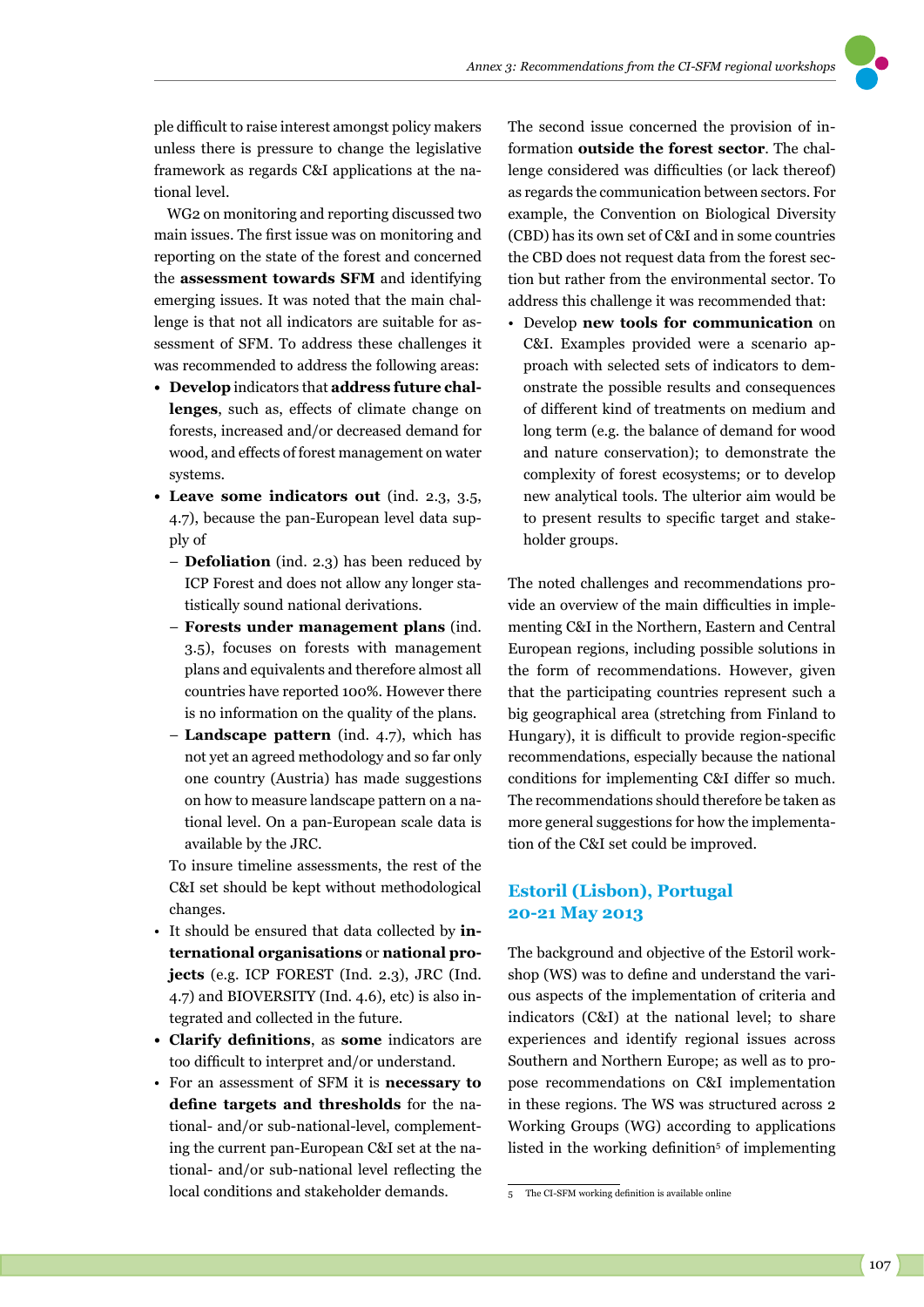

ple difficult to raise interest amongst policy makers unless there is pressure to change the legislative framework as regards C&I applications at the national level.

WG2 on monitoring and reporting discussed two main issues. The first issue was on monitoring and reporting on the state of the forest and concerned the **assessment towards SFM** and identifying emerging issues. It was noted that the main challenge is that not all indicators are suitable for assessment of SFM. To address these challenges it was recommended to address the following areas:

- **• Develop** indicators that **address future challenges**, such as, effects of climate change on forests, increased and/or decreased demand for wood, and effects of forest management on water systems.
- **• Leave some indicators out** (ind. 2.3, 3.5, 4.7), because the pan-European level data supply of
	- **Defoliation** (ind. 2.3) has been reduced by ICP Forest and does not allow any longer statistically sound national derivations.
	- **Forests under management plans** (ind. 3.5), focuses on forests with management plans and equivalents and therefore almost all countries have reported 100%. However there is no information on the quality of the plans.
	- **Landscape pattern** (ind. 4.7), which has not yet an agreed methodology and so far only one country (Austria) has made suggestions on how to measure landscape pattern on a national level. On a pan-European scale data is available by the JRC.

To insure timeline assessments, the rest of the C&I set should be kept without methodological changes.

- It should be ensured that data collected by **international organisations** or **national projects** (e.g. ICP FOREST (Ind. 2.3), JRC (Ind. 4.7) and BIOVERSITY (Ind. 4.6), etc) is also integrated and collected in the future.
- **• Clarify definitions**, as **some** indicators are too difficult to interpret and/or understand.
- For an assessment of SFM it is **necessary to define targets and thresholds** for the national- and/or sub-national-level, complementing the current pan-European C&I set at the national- and/or sub-national level reflecting the local conditions and stakeholder demands.

The second issue concerned the provision of information **outside the forest sector**. The challenge considered was difficulties (or lack thereof) as regards the communication between sectors. For example, the Convention on Biological Diversity (CBD) has its own set of C&I and in some countries the CBD does not request data from the forest section but rather from the environmental sector. To address this challenge it was recommended that:

• Develop **new tools for communication** on C&I. Examples provided were a scenario approach with selected sets of indicators to demonstrate the possible results and consequences of different kind of treatments on medium and long term (e.g. the balance of demand for wood and nature conservation); to demonstrate the complexity of forest ecosystems; or to develop new analytical tools. The ulterior aim would be to present results to specific target and stakeholder groups.

The noted challenges and recommendations provide an overview of the main difficulties in implementing C&I in the Northern, Eastern and Central European regions, including possible solutions in the form of recommendations. However, given that the participating countries represent such a big geographical area (stretching from Finland to Hungary), it is difficult to provide region-specific recommendations, especially because the national conditions for implementing C&I differ so much. The recommendations should therefore be taken as more general suggestions for how the implementation of the C&I set could be improved.

## **Estoril (Lisbon), Portugal 20-21 May 2013**

The background and objective of the Estoril workshop (WS) was to define and understand the various aspects of the implementation of criteria and indicators (C&I) at the national level; to share experiences and identify regional issues across Southern and Northern Europe; as well as to propose recommendations on C&I implementation in these regions. The WS was structured across 2 Working Groups (WG) according to applications listed in the working definition<sup>5</sup> of implementing

The CI-SFM working definition is available online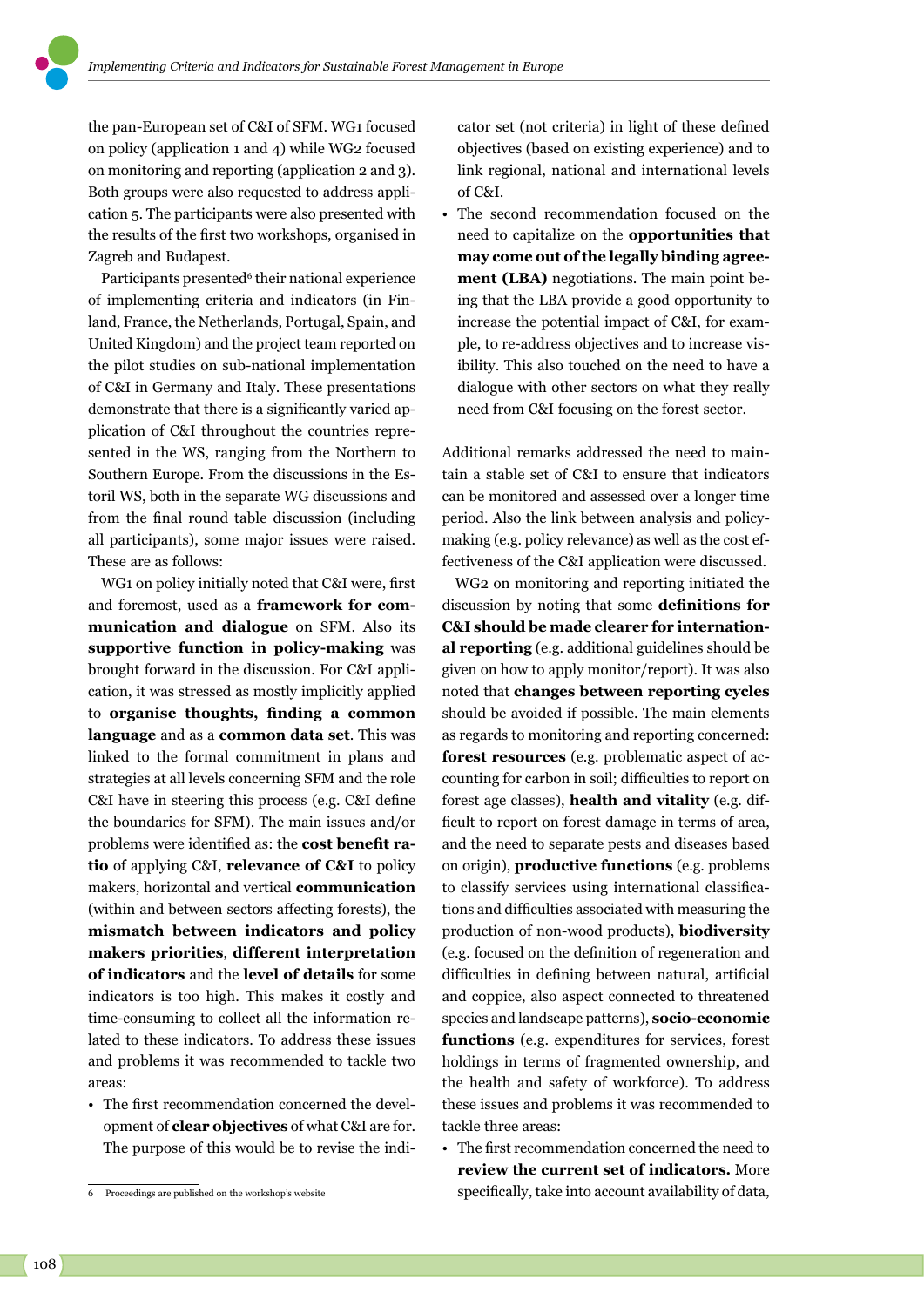the pan-European set of C&I of SFM. WG1 focused on policy (application 1 and 4) while WG2 focused on monitoring and reporting (application 2 and 3). Both groups were also requested to address application 5. The participants were also presented with the results of the first two workshops, organised in Zagreb and Budapest.

Participants presented<sup>6</sup> their national experience of implementing criteria and indicators (in Finland, France, the Netherlands, Portugal, Spain, and United Kingdom) and the project team reported on the pilot studies on sub-national implementation of C&I in Germany and Italy. These presentations demonstrate that there is a significantly varied application of C&I throughout the countries represented in the WS, ranging from the Northern to Southern Europe. From the discussions in the Estoril WS, both in the separate WG discussions and from the final round table discussion (including all participants), some major issues were raised. These are as follows:

WG1 on policy initially noted that C&I were, first and foremost, used as a **framework for communication and dialogue** on SFM. Also its **supportive function in policy-making** was brought forward in the discussion. For C&I application, it was stressed as mostly implicitly applied to **organise thoughts, finding a common language** and as a **common data set**. This was linked to the formal commitment in plans and strategies at all levels concerning SFM and the role C&I have in steering this process (e.g. C&I define the boundaries for SFM). The main issues and/or problems were identified as: the **cost benefit ratio** of applying C&I, **relevance of C&I** to policy makers, horizontal and vertical **communication** (within and between sectors affecting forests), the **mismatch between indicators and policy makers priorities**, **different interpretation of indicators** and the **level of details** for some indicators is too high. This makes it costly and time-consuming to collect all the information related to these indicators. To address these issues and problems it was recommended to tackle two areas:

• The first recommendation concerned the development of **clear objectives** of what C&I are for. The purpose of this would be to revise the indicator set (not criteria) in light of these defined objectives (based on existing experience) and to link regional, national and international levels of C&I.

• The second recommendation focused on the need to capitalize on the **opportunities that may come out of the legally binding agreement (LBA)** negotiations. The main point being that the LBA provide a good opportunity to increase the potential impact of C&I, for example, to re-address objectives and to increase visibility. This also touched on the need to have a dialogue with other sectors on what they really need from C&I focusing on the forest sector.

Additional remarks addressed the need to maintain a stable set of C&I to ensure that indicators can be monitored and assessed over a longer time period. Also the link between analysis and policymaking (e.g. policy relevance) as well as the cost effectiveness of the C&I application were discussed.

WG2 on monitoring and reporting initiated the discussion by noting that some **definitions for C&I should be made clearer for international reporting** (e.g. additional guidelines should be given on how to apply monitor/report). It was also noted that **changes between reporting cycles** should be avoided if possible. The main elements as regards to monitoring and reporting concerned: **forest resources** (e.g. problematic aspect of accounting for carbon in soil; difficulties to report on forest age classes), **health and vitality** (e.g. difficult to report on forest damage in terms of area, and the need to separate pests and diseases based on origin), **productive functions** (e.g. problems to classify services using international classifications and difficulties associated with measuring the production of non-wood products), **biodiversity** (e.g. focused on the definition of regeneration and difficulties in defining between natural, artificial and coppice, also aspect connected to threatened species and landscape patterns), **socio-economic functions** (e.g. expenditures for services, forest holdings in terms of fragmented ownership, and the health and safety of workforce). To address these issues and problems it was recommended to tackle three areas:

• The first recommendation concerned the need to **review the current set of indicators.** More specifically, take into account availability of data,

<sup>6</sup> Proceedings are published on the workshop's website